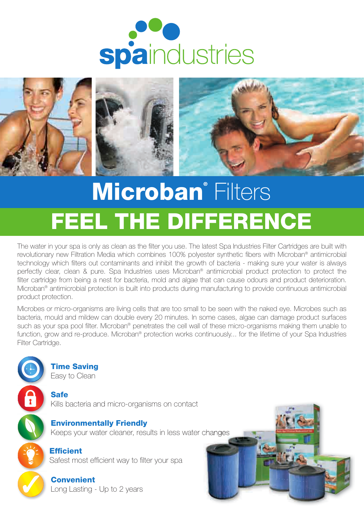



# Microban<sup>®</sup> Filters FEEL THE DIFFERENCE

The water in your spa is only as clean as the filter you use. The latest Spa Industries Filter Cartridges are built with revolutionary new Filtration Media which combines 100% polyester synthetic fibers with Microban® antimicrobial technology which filters out contaminants and inhibit the growth of bacteria - making sure your water is always perfectly clear, clean & pure. Spa Industries uses Microban® antimicrobial product protection to protect the filter cartridge from being a nest for bacteria, mold and algae that can cause odours and product deterioration. Microban® antimicrobial protection is built into products during manufacturing to provide continuous antimicrobial product protection.

Microbes or micro-organisms are living cells that are too small to be seen with the naked eye. Microbes such as bacteria, mould and mildew can double every 20 minutes. In some cases, algae can damage product surfaces such as your spa pool filter. Microban® penetrates the cell wall of these micro-organisms making them unable to function, grow and re-produce. Microban® protection works continuously... for the lifetime of your Spa Industries Filter Cartridge.



Time Saving Easy to Clean

Safe Kills bacteria and micro-organisms on contact

Environmentally Friendly Keeps your water cleaner, results in less water changes

**Efficient** Safest most efficient way to filter your spa

**Convenient** Long Lasting - Up to 2 years